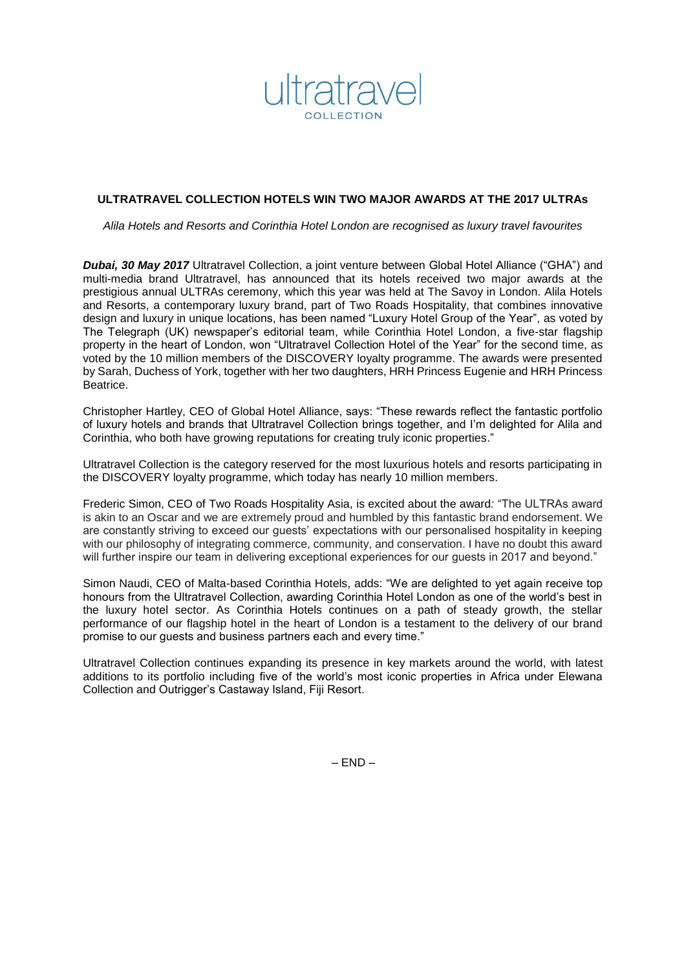

# **ULTRATRAVEL COLLECTION HOTELS WIN TWO MAJOR AWARDS AT THE 2017 ULTRAs**

*Alila Hotels and Resorts and Corinthia Hotel London are recognised as luxury travel favourites* 

*Dubai, 30 May 2017* Ultratravel Collection, a joint venture between Global Hotel Alliance ("GHA") and multi-media brand Ultratravel, has announced that its hotels received two major awards at the prestigious annual ULTRAs ceremony, which this year was held at The Savoy in London. Alila Hotels and Resorts, a contemporary luxury brand, part of Two Roads Hospitality, that combines innovative design and luxury in unique locations, has been named "Luxury Hotel Group of the Year", as voted by The Telegraph (UK) newspaper's editorial team, while Corinthia Hotel London, a five-star flagship property in the heart of London, won "Ultratravel Collection Hotel of the Year" for the second time, as voted by the 10 million members of the DISCOVERY loyalty programme. The awards were presented by Sarah, Duchess of York, together with her two daughters, HRH Princess Eugenie and HRH Princess Beatrice.

Christopher Hartley, CEO of Global Hotel Alliance, says: "These rewards reflect the fantastic portfolio of luxury hotels and brands that Ultratravel Collection brings together, and I'm delighted for Alila and Corinthia, who both have growing reputations for creating truly iconic properties."

Ultratravel Collection is the category reserved for the most luxurious hotels and resorts participating in the DISCOVERY loyalty programme, which today has nearly 10 million members.

Frederic Simon, CEO of Two Roads Hospitality Asia, is excited about the award*:* "The ULTRAs award is akin to an Oscar and we are extremely proud and humbled by this fantastic brand endorsement. We are constantly striving to exceed our guests' expectations with our personalised hospitality in keeping with our philosophy of integrating commerce, community, and conservation. I have no doubt this award will further inspire our team in delivering exceptional experiences for our guests in 2017 and beyond."

Simon Naudi, CEO of Malta-based Corinthia Hotels, adds: "We are delighted to yet again receive top honours from the Ultratravel Collection, awarding Corinthia Hotel London as one of the world's best in the luxury hotel sector. As Corinthia Hotels continues on a path of steady growth, the stellar performance of our flagship hotel in the heart of London is a testament to the delivery of our brand promise to our guests and business partners each and every time."

Ultratravel Collection continues expanding its presence in key markets around the world, with latest additions to its portfolio including five of the world's most iconic properties in Africa under Elewana Collection and Outrigger's Castaway Island, Fiji Resort.

 $-$  END  $-$